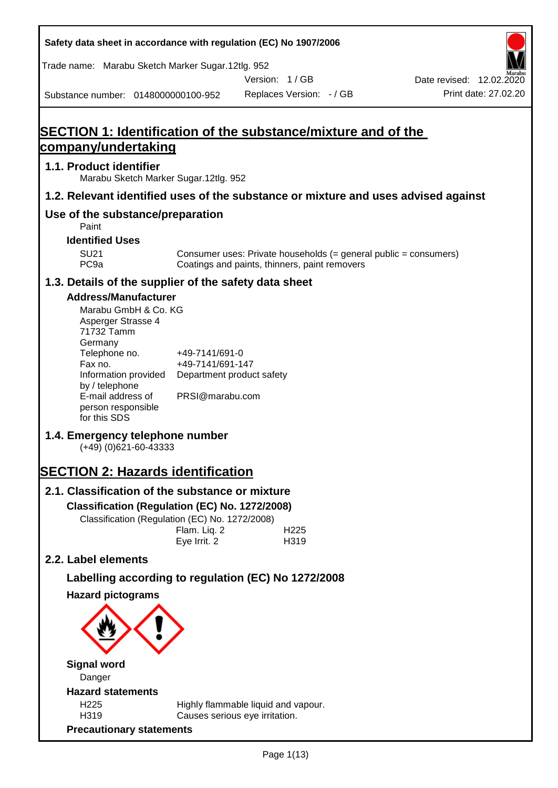| Trade name: Marabu Sketch Marker Sugar.12tlg. 952<br>Version: 1/GB<br>Date revised: 12.02.2020<br>Print date: 27.02.20<br>Replaces Version: - / GB<br>Substance number: 0148000000100-952<br>SECTION 1: Identification of the substance/mixture and of the<br>company/undertaking<br>1.1. Product identifier<br>Marabu Sketch Marker Sugar.12tlg. 952                                                                                                                                                                                                                                                                          |
|--------------------------------------------------------------------------------------------------------------------------------------------------------------------------------------------------------------------------------------------------------------------------------------------------------------------------------------------------------------------------------------------------------------------------------------------------------------------------------------------------------------------------------------------------------------------------------------------------------------------------------|
|                                                                                                                                                                                                                                                                                                                                                                                                                                                                                                                                                                                                                                |
|                                                                                                                                                                                                                                                                                                                                                                                                                                                                                                                                                                                                                                |
|                                                                                                                                                                                                                                                                                                                                                                                                                                                                                                                                                                                                                                |
|                                                                                                                                                                                                                                                                                                                                                                                                                                                                                                                                                                                                                                |
|                                                                                                                                                                                                                                                                                                                                                                                                                                                                                                                                                                                                                                |
|                                                                                                                                                                                                                                                                                                                                                                                                                                                                                                                                                                                                                                |
| 1.2. Relevant identified uses of the substance or mixture and uses advised against                                                                                                                                                                                                                                                                                                                                                                                                                                                                                                                                             |
| Use of the substance/preparation<br>Paint                                                                                                                                                                                                                                                                                                                                                                                                                                                                                                                                                                                      |
| <b>Identified Uses</b>                                                                                                                                                                                                                                                                                                                                                                                                                                                                                                                                                                                                         |
| <b>SU21</b><br>Consumer uses: Private households (= general public = consumers)<br>PC <sub>9a</sub><br>Coatings and paints, thinners, paint removers                                                                                                                                                                                                                                                                                                                                                                                                                                                                           |
| 1.3. Details of the supplier of the safety data sheet                                                                                                                                                                                                                                                                                                                                                                                                                                                                                                                                                                          |
| <b>Address/Manufacturer</b><br>Marabu GmbH & Co. KG<br>Asperger Strasse 4<br>71732 Tamm<br>Germany<br>Telephone no.<br>+49-7141/691-0<br>Fax no.<br>+49-7141/691-147<br>Information provided<br>Department product safety<br>by / telephone<br>E-mail address of<br>PRSI@marabu.com<br>person responsible<br>for this SDS<br>1.4. Emergency telephone number<br>$(+49)$ (0)621-60-43333<br><b>SECTION 2: Hazards identification</b><br>2.1. Classification of the substance or mixture<br>Classification (Regulation (EC) No. 1272/2008)<br>Classification (Regulation (EC) No. 1272/2008)<br>Flam. Liq. 2<br>H <sub>225</sub> |
| Eye Irrit. 2<br>H319                                                                                                                                                                                                                                                                                                                                                                                                                                                                                                                                                                                                           |
| 2.2. Label elements                                                                                                                                                                                                                                                                                                                                                                                                                                                                                                                                                                                                            |
| Labelling according to regulation (EC) No 1272/2008                                                                                                                                                                                                                                                                                                                                                                                                                                                                                                                                                                            |
| <b>Hazard pictograms</b>                                                                                                                                                                                                                                                                                                                                                                                                                                                                                                                                                                                                       |
| <b>Signal word</b>                                                                                                                                                                                                                                                                                                                                                                                                                                                                                                                                                                                                             |
| Danger<br><b>Hazard statements</b>                                                                                                                                                                                                                                                                                                                                                                                                                                                                                                                                                                                             |
| H225<br>Highly flammable liquid and vapour.                                                                                                                                                                                                                                                                                                                                                                                                                                                                                                                                                                                    |
| H319<br>Causes serious eye irritation.<br><b>Precautionary statements</b>                                                                                                                                                                                                                                                                                                                                                                                                                                                                                                                                                      |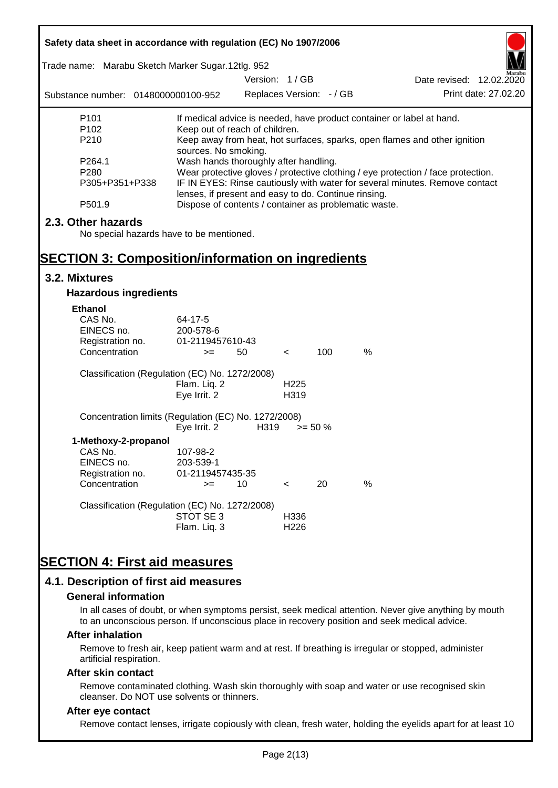| Safety data sheet in accordance with regulation (EC) No 1907/2006 |                                                                                                                                     |                          |                  |            |                                                                           |  |  |
|-------------------------------------------------------------------|-------------------------------------------------------------------------------------------------------------------------------------|--------------------------|------------------|------------|---------------------------------------------------------------------------|--|--|
| Trade name: Marabu Sketch Marker Sugar.12tlg. 952                 |                                                                                                                                     |                          |                  |            |                                                                           |  |  |
|                                                                   |                                                                                                                                     | Version: 1/GB            |                  |            | Date revised: 12.02.2020                                                  |  |  |
| Substance number: 0148000000100-952                               |                                                                                                                                     | Replaces Version: - / GB |                  |            | Print date: 27.02.20                                                      |  |  |
| P <sub>101</sub>                                                  |                                                                                                                                     |                          |                  |            | If medical advice is needed, have product container or label at hand.     |  |  |
| P <sub>102</sub>                                                  | Keep out of reach of children.                                                                                                      |                          |                  |            |                                                                           |  |  |
| P210                                                              | sources. No smoking.                                                                                                                |                          |                  |            | Keep away from heat, hot surfaces, sparks, open flames and other ignition |  |  |
| P264.1                                                            | Wash hands thoroughly after handling.                                                                                               |                          |                  |            |                                                                           |  |  |
| P <sub>280</sub>                                                  | Wear protective gloves / protective clothing / eye protection / face protection.                                                    |                          |                  |            |                                                                           |  |  |
| P305+P351+P338                                                    | IF IN EYES: Rinse cautiously with water for several minutes. Remove contact<br>lenses, if present and easy to do. Continue rinsing. |                          |                  |            |                                                                           |  |  |
| P501.9                                                            | Dispose of contents / container as problematic waste.                                                                               |                          |                  |            |                                                                           |  |  |
| 2.3. Other hazards                                                |                                                                                                                                     |                          |                  |            |                                                                           |  |  |
| No special hazards have to be mentioned.                          |                                                                                                                                     |                          |                  |            |                                                                           |  |  |
|                                                                   |                                                                                                                                     |                          |                  |            |                                                                           |  |  |
| <b>SECTION 3: Composition/information on ingredients</b>          |                                                                                                                                     |                          |                  |            |                                                                           |  |  |
| 3.2. Mixtures                                                     |                                                                                                                                     |                          |                  |            |                                                                           |  |  |
| <b>Hazardous ingredients</b>                                      |                                                                                                                                     |                          |                  |            |                                                                           |  |  |
| <b>Ethanol</b>                                                    |                                                                                                                                     |                          |                  |            |                                                                           |  |  |
| CAS No.                                                           | 64-17-5                                                                                                                             |                          |                  |            |                                                                           |  |  |
| EINECS no.                                                        | 200-578-6                                                                                                                           |                          |                  |            |                                                                           |  |  |
| Registration no.                                                  | 01-2119457610-43                                                                                                                    |                          |                  |            |                                                                           |  |  |
| Concentration                                                     | $>=$                                                                                                                                | 50                       | $\prec$          | 100        | $\%$                                                                      |  |  |
| Classification (Regulation (EC) No. 1272/2008)                    |                                                                                                                                     |                          |                  |            |                                                                           |  |  |
|                                                                   | Flam. Liq. 2                                                                                                                        |                          | H <sub>225</sub> |            |                                                                           |  |  |
|                                                                   | Eye Irrit. 2                                                                                                                        |                          | H319             |            |                                                                           |  |  |
| Concentration limits (Regulation (EC) No. 1272/2008)              |                                                                                                                                     |                          |                  |            |                                                                           |  |  |
|                                                                   | Eye Irrit. 2                                                                                                                        | H319                     |                  | $>= 50 \%$ |                                                                           |  |  |
| 1-Methoxy-2-propanol                                              |                                                                                                                                     |                          |                  |            |                                                                           |  |  |
| CAS No.                                                           | 107-98-2                                                                                                                            |                          |                  |            |                                                                           |  |  |
| EINECS no.                                                        | 203-539-1                                                                                                                           |                          |                  |            |                                                                           |  |  |
| Registration no.                                                  | 01-2119457435-35                                                                                                                    |                          |                  |            |                                                                           |  |  |
| Concentration                                                     | $>=$                                                                                                                                | 10                       | $\,<\,$          | 20         | %                                                                         |  |  |
| Classification (Regulation (EC) No. 1272/2008)                    |                                                                                                                                     |                          |                  |            |                                                                           |  |  |
|                                                                   | STOT SE 3                                                                                                                           |                          | H336             |            |                                                                           |  |  |
|                                                                   | Flam. Liq. 3                                                                                                                        |                          | H <sub>226</sub> |            |                                                                           |  |  |
|                                                                   |                                                                                                                                     |                          |                  |            |                                                                           |  |  |
| <b>SECTION 4: First aid measures</b>                              |                                                                                                                                     |                          |                  |            |                                                                           |  |  |
|                                                                   |                                                                                                                                     |                          |                  |            |                                                                           |  |  |
| 4.1. Description of first aid measures                            |                                                                                                                                     |                          |                  |            |                                                                           |  |  |

#### **General information**

In all cases of doubt, or when symptoms persist, seek medical attention. Never give anything by mouth to an unconscious person. If unconscious place in recovery position and seek medical advice.

#### **After inhalation**

Remove to fresh air, keep patient warm and at rest. If breathing is irregular or stopped, administer artificial respiration.

#### **After skin contact**

Remove contaminated clothing. Wash skin thoroughly with soap and water or use recognised skin cleanser. Do NOT use solvents or thinners.

## **After eye contact**

Remove contact lenses, irrigate copiously with clean, fresh water, holding the eyelids apart for at least 10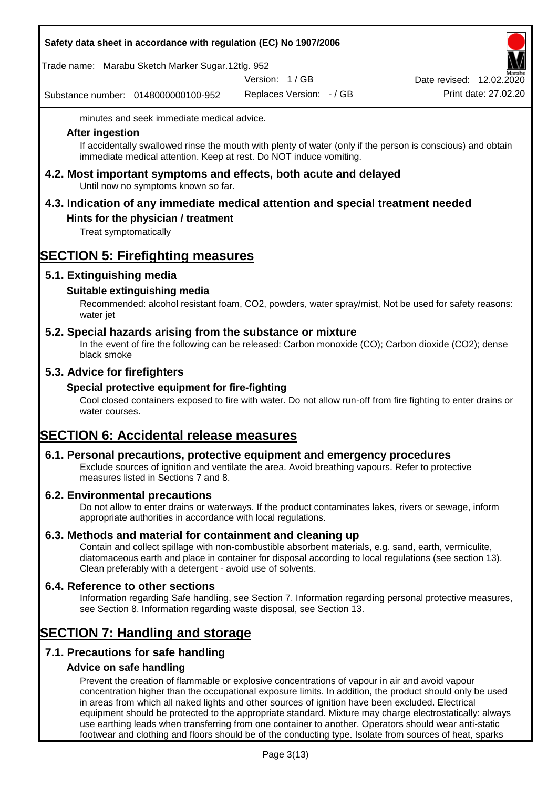## **Safety data sheet in accordance with regulation (EC) No 1907/2006**

Trade name: Marabu Sketch Marker Sugar.12tlg. 952

Version: 1 / GB

Substance number: 0148000000100-952

Replaces Version: - / GB Print date: 27.02.20 Date revised:  $12.02.\overline{2}$ 

minutes and seek immediate medical advice.

## **After ingestion**

If accidentally swallowed rinse the mouth with plenty of water (only if the person is conscious) and obtain immediate medical attention. Keep at rest. Do NOT induce vomiting.

**4.2. Most important symptoms and effects, both acute and delayed** Until now no symptoms known so far.

# **4.3. Indication of any immediate medical attention and special treatment needed**

## **Hints for the physician / treatment**

Treat symptomatically

# **SECTION 5: Firefighting measures**

## **5.1. Extinguishing media**

## **Suitable extinguishing media**

Recommended: alcohol resistant foam, CO2, powders, water spray/mist, Not be used for safety reasons: water jet

## **5.2. Special hazards arising from the substance or mixture**

In the event of fire the following can be released: Carbon monoxide (CO); Carbon dioxide (CO2); dense black smoke

## **5.3. Advice for firefighters**

## **Special protective equipment for fire-fighting**

Cool closed containers exposed to fire with water. Do not allow run-off from fire fighting to enter drains or water courses.

# **SECTION 6: Accidental release measures**

## **6.1. Personal precautions, protective equipment and emergency procedures**

Exclude sources of ignition and ventilate the area. Avoid breathing vapours. Refer to protective measures listed in Sections 7 and 8.

## **6.2. Environmental precautions**

Do not allow to enter drains or waterways. If the product contaminates lakes, rivers or sewage, inform appropriate authorities in accordance with local regulations.

## **6.3. Methods and material for containment and cleaning up**

Contain and collect spillage with non-combustible absorbent materials, e.g. sand, earth, vermiculite, diatomaceous earth and place in container for disposal according to local regulations (see section 13). Clean preferably with a detergent - avoid use of solvents.

## **6.4. Reference to other sections**

Information regarding Safe handling, see Section 7. Information regarding personal protective measures, see Section 8. Information regarding waste disposal, see Section 13.

## **SECTION 7: Handling and storage**

## **7.1. Precautions for safe handling**

## **Advice on safe handling**

Prevent the creation of flammable or explosive concentrations of vapour in air and avoid vapour concentration higher than the occupational exposure limits. In addition, the product should only be used in areas from which all naked lights and other sources of ignition have been excluded. Electrical equipment should be protected to the appropriate standard. Mixture may charge electrostatically: always use earthing leads when transferring from one container to another. Operators should wear anti-static footwear and clothing and floors should be of the conducting type. Isolate from sources of heat, sparks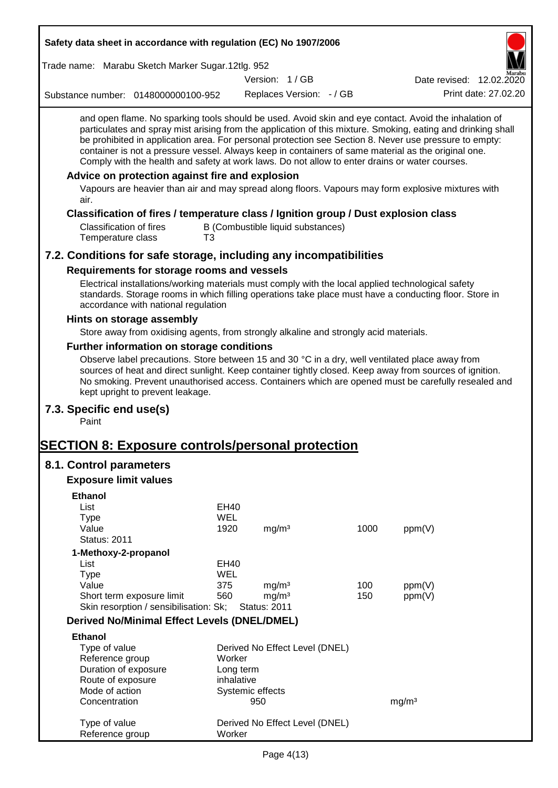| Safety data sheet in accordance with regulation (EC) No 1907/2006                                                                                                                                                                                                                                                                                                                                                                                                                                                                                                                                                                                                                                 |                    |                         |                                   |      |                          |
|---------------------------------------------------------------------------------------------------------------------------------------------------------------------------------------------------------------------------------------------------------------------------------------------------------------------------------------------------------------------------------------------------------------------------------------------------------------------------------------------------------------------------------------------------------------------------------------------------------------------------------------------------------------------------------------------------|--------------------|-------------------------|-----------------------------------|------|--------------------------|
| Trade name: Marabu Sketch Marker Sugar.12tlg. 952                                                                                                                                                                                                                                                                                                                                                                                                                                                                                                                                                                                                                                                 |                    |                         |                                   |      |                          |
|                                                                                                                                                                                                                                                                                                                                                                                                                                                                                                                                                                                                                                                                                                   |                    | Version: 1/GB           |                                   |      | Date revised: 12.02.2020 |
| Substance number: 0148000000100-952                                                                                                                                                                                                                                                                                                                                                                                                                                                                                                                                                                                                                                                               |                    |                         | Replaces Version: - / GB          |      | Print date: 27,02.20     |
| and open flame. No sparking tools should be used. Avoid skin and eye contact. Avoid the inhalation of<br>particulates and spray mist arising from the application of this mixture. Smoking, eating and drinking shall<br>be prohibited in application area. For personal protection see Section 8. Never use pressure to empty:<br>container is not a pressure vessel. Always keep in containers of same material as the original one.<br>Comply with the health and safety at work laws. Do not allow to enter drains or water courses.<br>Advice on protection against fire and explosion<br>Vapours are heavier than air and may spread along floors. Vapours may form explosive mixtures with |                    |                         |                                   |      |                          |
| air.                                                                                                                                                                                                                                                                                                                                                                                                                                                                                                                                                                                                                                                                                              |                    |                         |                                   |      |                          |
| Classification of fires / temperature class / Ignition group / Dust explosion class<br><b>Classification of fires</b><br>Temperature class                                                                                                                                                                                                                                                                                                                                                                                                                                                                                                                                                        | T3                 |                         | B (Combustible liquid substances) |      |                          |
| 7.2. Conditions for safe storage, including any incompatibilities                                                                                                                                                                                                                                                                                                                                                                                                                                                                                                                                                                                                                                 |                    |                         |                                   |      |                          |
| Requirements for storage rooms and vessels                                                                                                                                                                                                                                                                                                                                                                                                                                                                                                                                                                                                                                                        |                    |                         |                                   |      |                          |
| Electrical installations/working materials must comply with the local applied technological safety<br>standards. Storage rooms in which filling operations take place must have a conducting floor. Store in<br>accordance with national regulation                                                                                                                                                                                                                                                                                                                                                                                                                                               |                    |                         |                                   |      |                          |
| Hints on storage assembly                                                                                                                                                                                                                                                                                                                                                                                                                                                                                                                                                                                                                                                                         |                    |                         |                                   |      |                          |
| Store away from oxidising agents, from strongly alkaline and strongly acid materials.                                                                                                                                                                                                                                                                                                                                                                                                                                                                                                                                                                                                             |                    |                         |                                   |      |                          |
| Further information on storage conditions                                                                                                                                                                                                                                                                                                                                                                                                                                                                                                                                                                                                                                                         |                    |                         |                                   |      |                          |
| Observe label precautions. Store between 15 and 30 °C in a dry, well ventilated place away from<br>sources of heat and direct sunlight. Keep container tightly closed. Keep away from sources of ignition.<br>No smoking. Prevent unauthorised access. Containers which are opened must be carefully resealed and<br>kept upright to prevent leakage.                                                                                                                                                                                                                                                                                                                                             |                    |                         |                                   |      |                          |
| 7.3. Specific end use(s)<br>Paint                                                                                                                                                                                                                                                                                                                                                                                                                                                                                                                                                                                                                                                                 |                    |                         |                                   |      |                          |
| <b>SECTION 8: Exposure controls/personal protection</b>                                                                                                                                                                                                                                                                                                                                                                                                                                                                                                                                                                                                                                           |                    |                         |                                   |      |                          |
| 8.1. Control parameters                                                                                                                                                                                                                                                                                                                                                                                                                                                                                                                                                                                                                                                                           |                    |                         |                                   |      |                          |
| <b>Exposure limit values</b>                                                                                                                                                                                                                                                                                                                                                                                                                                                                                                                                                                                                                                                                      |                    |                         |                                   |      |                          |
| <b>Ethanol</b>                                                                                                                                                                                                                                                                                                                                                                                                                                                                                                                                                                                                                                                                                    |                    |                         |                                   |      |                          |
| List                                                                                                                                                                                                                                                                                                                                                                                                                                                                                                                                                                                                                                                                                              | EH40               |                         |                                   |      |                          |
| <b>Type</b>                                                                                                                                                                                                                                                                                                                                                                                                                                                                                                                                                                                                                                                                                       | <b>WEL</b>         |                         |                                   |      |                          |
| Value                                                                                                                                                                                                                                                                                                                                                                                                                                                                                                                                                                                                                                                                                             | 1920               | mg/m <sup>3</sup>       |                                   | 1000 | ppm(V)                   |
| <b>Status: 2011</b>                                                                                                                                                                                                                                                                                                                                                                                                                                                                                                                                                                                                                                                                               |                    |                         |                                   |      |                          |
| 1-Methoxy-2-propanol                                                                                                                                                                                                                                                                                                                                                                                                                                                                                                                                                                                                                                                                              |                    |                         |                                   |      |                          |
| List<br><b>Type</b>                                                                                                                                                                                                                                                                                                                                                                                                                                                                                                                                                                                                                                                                               | EH40<br><b>WEL</b> |                         |                                   |      |                          |
| Value                                                                                                                                                                                                                                                                                                                                                                                                                                                                                                                                                                                                                                                                                             | 375                | mg/m <sup>3</sup>       |                                   | 100  | ppm(V)                   |
| Short term exposure limit                                                                                                                                                                                                                                                                                                                                                                                                                                                                                                                                                                                                                                                                         | 560                | mg/m <sup>3</sup>       |                                   | 150  | ppm(V)                   |
| Skin resorption / sensibilisation: Sk;                                                                                                                                                                                                                                                                                                                                                                                                                                                                                                                                                                                                                                                            |                    | <b>Status: 2011</b>     |                                   |      |                          |
| <b>Derived No/Minimal Effect Levels (DNEL/DMEL)</b>                                                                                                                                                                                                                                                                                                                                                                                                                                                                                                                                                                                                                                               |                    |                         |                                   |      |                          |
| <b>Ethanol</b>                                                                                                                                                                                                                                                                                                                                                                                                                                                                                                                                                                                                                                                                                    |                    |                         |                                   |      |                          |
| Type of value                                                                                                                                                                                                                                                                                                                                                                                                                                                                                                                                                                                                                                                                                     |                    |                         | Derived No Effect Level (DNEL)    |      |                          |
| Reference group                                                                                                                                                                                                                                                                                                                                                                                                                                                                                                                                                                                                                                                                                   | Worker             |                         |                                   |      |                          |
| Duration of exposure                                                                                                                                                                                                                                                                                                                                                                                                                                                                                                                                                                                                                                                                              |                    | Long term<br>inhalative |                                   |      |                          |
| Route of exposure<br>Mode of action                                                                                                                                                                                                                                                                                                                                                                                                                                                                                                                                                                                                                                                               |                    | Systemic effects        |                                   |      |                          |
| Concentration                                                                                                                                                                                                                                                                                                                                                                                                                                                                                                                                                                                                                                                                                     |                    | 950                     |                                   |      | mg/m <sup>3</sup>        |
|                                                                                                                                                                                                                                                                                                                                                                                                                                                                                                                                                                                                                                                                                                   |                    |                         |                                   |      |                          |
| Type of value<br>Reference group                                                                                                                                                                                                                                                                                                                                                                                                                                                                                                                                                                                                                                                                  | Worker             |                         | Derived No Effect Level (DNEL)    |      |                          |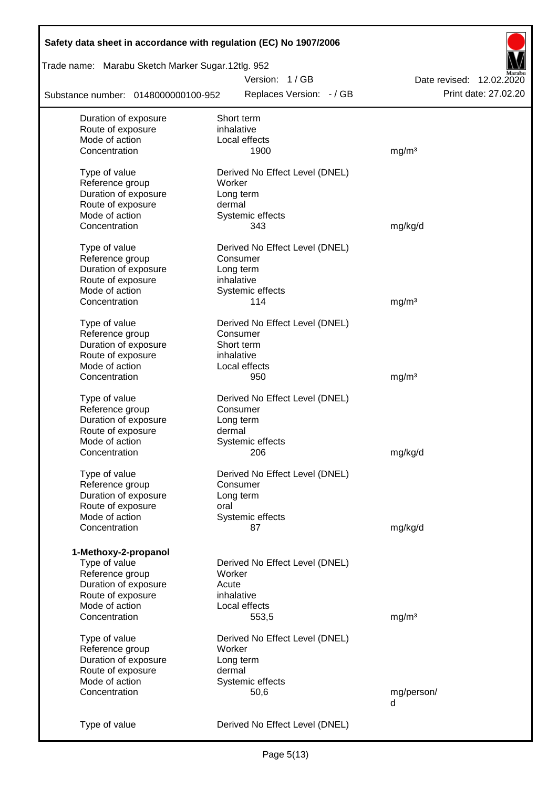| Safety data sheet in accordance with regulation (EC) No 1907/2006 |                                |                          |
|-------------------------------------------------------------------|--------------------------------|--------------------------|
| Trade name: Marabu Sketch Marker Sugar.12tlg. 952                 |                                |                          |
|                                                                   | Version: 1/GB                  | Date revised: 12.02.2020 |
| Substance number: 0148000000100-952                               | Replaces Version: - / GB       | Print date: 27.02.20     |
| Duration of exposure                                              | Short term                     |                          |
| Route of exposure                                                 | inhalative                     |                          |
| Mode of action                                                    | Local effects                  |                          |
| Concentration                                                     | 1900                           | mg/m <sup>3</sup>        |
| Type of value                                                     | Derived No Effect Level (DNEL) |                          |
| Reference group                                                   | Worker                         |                          |
| Duration of exposure                                              | Long term                      |                          |
| Route of exposure                                                 | dermal                         |                          |
| Mode of action                                                    | Systemic effects               |                          |
| Concentration                                                     | 343                            | mg/kg/d                  |
|                                                                   |                                |                          |
| Type of value                                                     | Derived No Effect Level (DNEL) |                          |
| Reference group                                                   | Consumer                       |                          |
| Duration of exposure                                              | Long term                      |                          |
| Route of exposure                                                 | inhalative                     |                          |
| Mode of action                                                    | Systemic effects               |                          |
| Concentration                                                     | 114                            | mg/m <sup>3</sup>        |
| Type of value                                                     | Derived No Effect Level (DNEL) |                          |
| Reference group                                                   | Consumer                       |                          |
| Duration of exposure                                              | Short term                     |                          |
| Route of exposure                                                 | inhalative                     |                          |
| Mode of action                                                    | Local effects                  |                          |
| Concentration                                                     | 950                            | mg/m <sup>3</sup>        |
|                                                                   |                                |                          |
| Type of value                                                     | Derived No Effect Level (DNEL) |                          |
| Reference group                                                   | Consumer                       |                          |
| Duration of exposure                                              | Long term                      |                          |
| Route of exposure                                                 | dermal                         |                          |
| Mode of action                                                    | Systemic effects               |                          |
| Concentration                                                     | 206                            | mg/kg/d                  |
|                                                                   | Derived No Effect Level (DNEL) |                          |
| Type of value<br>Reference group                                  | Consumer                       |                          |
|                                                                   |                                |                          |
| Duration of exposure                                              | Long term<br>oral              |                          |
| Route of exposure<br>Mode of action                               | Systemic effects               |                          |
| Concentration                                                     | 87                             | mg/kg/d                  |
|                                                                   |                                |                          |
| 1-Methoxy-2-propanol                                              |                                |                          |
| Type of value                                                     | Derived No Effect Level (DNEL) |                          |
| Reference group                                                   | Worker                         |                          |
| Duration of exposure                                              | Acute                          |                          |
| Route of exposure                                                 | inhalative                     |                          |
| Mode of action                                                    | Local effects                  |                          |
| Concentration                                                     | 553,5                          | mg/m <sup>3</sup>        |
|                                                                   |                                |                          |
| Type of value                                                     | Derived No Effect Level (DNEL) |                          |
| Reference group                                                   | Worker                         |                          |
| Duration of exposure                                              | Long term                      |                          |
| Route of exposure                                                 | dermal                         |                          |
| Mode of action                                                    | Systemic effects               |                          |
| Concentration                                                     | 50,6                           | mg/person/               |
|                                                                   |                                | d                        |
|                                                                   |                                |                          |
| Type of value                                                     | Derived No Effect Level (DNEL) |                          |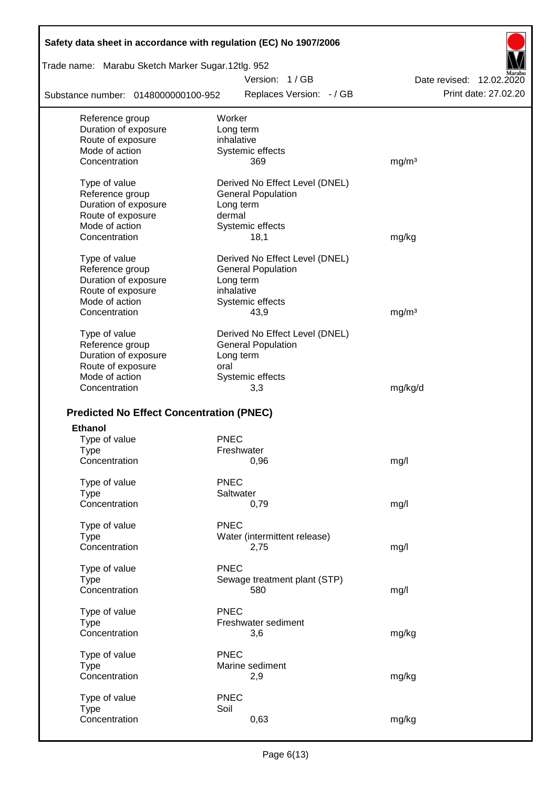| Safety data sheet in accordance with regulation (EC) No 1907/2006 |                                |                          |
|-------------------------------------------------------------------|--------------------------------|--------------------------|
| Trade name: Marabu Sketch Marker Sugar.12tlg. 952                 |                                |                          |
|                                                                   | Version: 1/GB                  | Date revised: 12.02.2020 |
| Substance number: 0148000000100-952                               | Replaces Version: - / GB       | Print date: 27.02.20     |
| Reference group                                                   | Worker                         |                          |
| Duration of exposure                                              | Long term                      |                          |
| Route of exposure                                                 | inhalative                     |                          |
| Mode of action                                                    | Systemic effects               |                          |
| Concentration                                                     | 369                            | mg/m <sup>3</sup>        |
| Type of value                                                     | Derived No Effect Level (DNEL) |                          |
| Reference group                                                   | <b>General Population</b>      |                          |
| Duration of exposure                                              | Long term                      |                          |
| Route of exposure                                                 | dermal                         |                          |
| Mode of action                                                    | Systemic effects               |                          |
| Concentration                                                     | 18,1                           | mg/kg                    |
|                                                                   |                                |                          |
| Type of value                                                     | Derived No Effect Level (DNEL) |                          |
| Reference group                                                   | <b>General Population</b>      |                          |
| Duration of exposure                                              | Long term                      |                          |
| Route of exposure                                                 | inhalative                     |                          |
| Mode of action                                                    | Systemic effects               |                          |
| Concentration                                                     | 43,9                           | mg/m <sup>3</sup>        |
|                                                                   | Derived No Effect Level (DNEL) |                          |
| Type of value<br>Reference group                                  |                                |                          |
|                                                                   | <b>General Population</b>      |                          |
| Duration of exposure                                              | Long term                      |                          |
| Route of exposure                                                 | oral                           |                          |
| Mode of action                                                    | Systemic effects               |                          |
| Concentration                                                     | 3,3                            | mg/kg/d                  |
| <b>Predicted No Effect Concentration (PNEC)</b>                   |                                |                          |
| <b>Ethanol</b>                                                    |                                |                          |
| Type of value                                                     | <b>PNEC</b>                    |                          |
| Type                                                              | Freshwater                     |                          |
| Concentration                                                     | 0,96                           | mg/l                     |
|                                                                   |                                |                          |
| Type of value                                                     | <b>PNEC</b>                    |                          |
| <b>Type</b>                                                       | Saltwater                      |                          |
| Concentration                                                     | 0,79                           | mg/l                     |
| Type of value                                                     | <b>PNEC</b>                    |                          |
| <b>Type</b>                                                       | Water (intermittent release)   |                          |
| Concentration                                                     | 2,75                           | mg/l                     |
| Type of value                                                     | <b>PNEC</b>                    |                          |
| <b>Type</b>                                                       | Sewage treatment plant (STP)   |                          |
| Concentration                                                     | 580                            | mg/l                     |
|                                                                   |                                |                          |
| Type of value                                                     | <b>PNEC</b>                    |                          |
| <b>Type</b>                                                       | Freshwater sediment            |                          |
| Concentration                                                     | 3,6                            | mg/kg                    |
| Type of value                                                     | <b>PNEC</b>                    |                          |
| <b>Type</b>                                                       | Marine sediment                |                          |
| Concentration                                                     | 2,9                            | mg/kg                    |
|                                                                   |                                |                          |
| Type of value                                                     | <b>PNEC</b>                    |                          |
| <b>Type</b>                                                       | Soil                           |                          |
| Concentration                                                     | 0,63                           | mg/kg                    |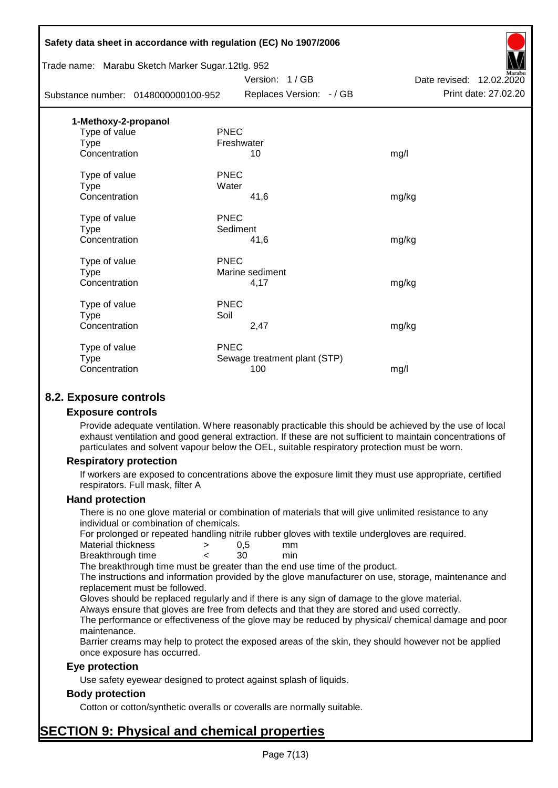|                      | Safety data sheet in accordance with regulation (EC) No 1907/2006 |                              |                          |
|----------------------|-------------------------------------------------------------------|------------------------------|--------------------------|
|                      | Trade name: Marabu Sketch Marker Sugar.12tlg. 952                 |                              |                          |
|                      |                                                                   | Version: 1 / GB              | Date revised: 12.02.2020 |
|                      | Substance number: 0148000000100-952                               | Replaces Version: - / GB     | Print date: 27.02.20     |
| 1-Methoxy-2-propanol |                                                                   |                              |                          |
| Type of value        | <b>PNEC</b>                                                       |                              |                          |
| <b>Type</b>          | Freshwater                                                        |                              |                          |
| Concentration        |                                                                   | 10                           | mg/l                     |
| Type of value        | <b>PNEC</b>                                                       |                              |                          |
| <b>Type</b>          | Water                                                             |                              |                          |
| Concentration        |                                                                   | 41,6                         | mg/kg                    |
| Type of value        | <b>PNEC</b>                                                       |                              |                          |
| <b>Type</b>          | Sediment                                                          |                              |                          |
| Concentration        |                                                                   | 41,6                         | mg/kg                    |
| Type of value        | <b>PNEC</b>                                                       |                              |                          |
| Type                 |                                                                   | Marine sediment              |                          |
| Concentration        |                                                                   | 4,17                         | mg/kg                    |
| Type of value        | <b>PNEC</b>                                                       |                              |                          |
| <b>Type</b>          | Soil                                                              |                              |                          |
| Concentration        |                                                                   | 2,47                         | mg/kg                    |
| Type of value        | <b>PNEC</b>                                                       |                              |                          |
| Type                 |                                                                   | Sewage treatment plant (STP) |                          |
| Concentration        |                                                                   | 100                          | mg/l                     |
|                      |                                                                   |                              |                          |

## **8.2. Exposure controls**

#### **Exposure controls**

Provide adequate ventilation. Where reasonably practicable this should be achieved by the use of local exhaust ventilation and good general extraction. If these are not sufficient to maintain concentrations of particulates and solvent vapour below the OEL, suitable respiratory protection must be worn.

#### **Respiratory protection**

If workers are exposed to concentrations above the exposure limit they must use appropriate, certified respirators. Full mask, filter A

#### **Hand protection**

There is no one glove material or combination of materials that will give unlimited resistance to any individual or combination of chemicals.

For prolonged or repeated handling nitrile rubber gloves with textile undergloves are required.

| Material thickness | 0.5 | mm  |
|--------------------|-----|-----|
| Breakthrough time  | 30  | min |

The breakthrough time must be greater than the end use time of the product.

The instructions and information provided by the glove manufacturer on use, storage, maintenance and replacement must be followed.

Gloves should be replaced regularly and if there is any sign of damage to the glove material.

Always ensure that gloves are free from defects and that they are stored and used correctly.

The performance or effectiveness of the glove may be reduced by physical/ chemical damage and poor maintenance.

Barrier creams may help to protect the exposed areas of the skin, they should however not be applied once exposure has occurred.

#### **Eye protection**

Use safety eyewear designed to protect against splash of liquids.

## **Body protection**

Cotton or cotton/synthetic overalls or coveralls are normally suitable.

# **SECTION 9: Physical and chemical properties**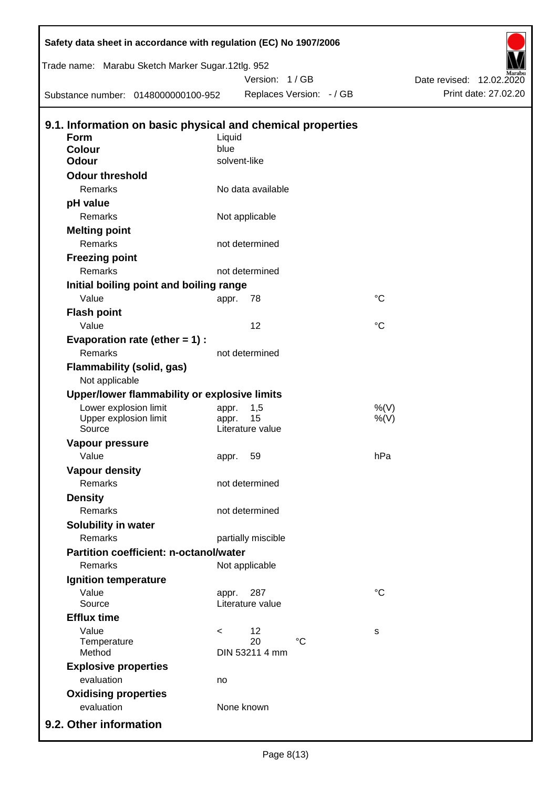|                                             | Safety data sheet in accordance with regulation (EC) No 1907/2006 |              |                    |                          |             |                                                  |
|---------------------------------------------|-------------------------------------------------------------------|--------------|--------------------|--------------------------|-------------|--------------------------------------------------|
|                                             | Trade name: Marabu Sketch Marker Sugar.12tlg. 952                 |              | Version: 1/GB      |                          |             |                                                  |
|                                             | Substance number: 0148000000100-952                               |              |                    | Replaces Version: - / GB |             | Date revised: 12.02.2020<br>Print date: 27.02.20 |
|                                             |                                                                   |              |                    |                          |             |                                                  |
| <b>Form</b>                                 | 9.1. Information on basic physical and chemical properties        | Liquid       |                    |                          |             |                                                  |
| <b>Colour</b>                               |                                                                   | blue         |                    |                          |             |                                                  |
| <b>Odour</b>                                |                                                                   | solvent-like |                    |                          |             |                                                  |
| <b>Odour threshold</b>                      |                                                                   |              |                    |                          |             |                                                  |
| Remarks                                     |                                                                   |              | No data available  |                          |             |                                                  |
| pH value                                    |                                                                   |              |                    |                          |             |                                                  |
| Remarks                                     |                                                                   |              | Not applicable     |                          |             |                                                  |
| <b>Melting point</b>                        |                                                                   |              |                    |                          |             |                                                  |
| Remarks                                     |                                                                   |              | not determined     |                          |             |                                                  |
| <b>Freezing point</b>                       |                                                                   |              |                    |                          |             |                                                  |
| Remarks                                     |                                                                   |              | not determined     |                          |             |                                                  |
|                                             | Initial boiling point and boiling range                           |              |                    |                          |             |                                                  |
| Value                                       |                                                                   | appr.        | 78                 |                          | $^{\circ}C$ |                                                  |
| <b>Flash point</b>                          |                                                                   |              |                    |                          |             |                                                  |
| Value                                       |                                                                   |              | 12                 |                          | $^{\circ}C$ |                                                  |
|                                             | Evaporation rate (ether $= 1$ ) :                                 |              |                    |                          |             |                                                  |
| Remarks                                     |                                                                   |              | not determined     |                          |             |                                                  |
| Flammability (solid, gas)<br>Not applicable |                                                                   |              |                    |                          |             |                                                  |
|                                             | Upper/lower flammability or explosive limits                      |              |                    |                          |             |                                                  |
| Lower explosion limit                       |                                                                   | appr.        | 1,5                |                          | %(V)        |                                                  |
| Upper explosion limit                       |                                                                   | appr.        | 15                 |                          | $%$ (V)     |                                                  |
| Source                                      |                                                                   |              | Literature value   |                          |             |                                                  |
| <b>Vapour pressure</b>                      |                                                                   |              |                    |                          |             |                                                  |
| Value                                       |                                                                   | appr.        | 59                 |                          | hPa         |                                                  |
| <b>Vapour density</b>                       |                                                                   |              |                    |                          |             |                                                  |
| Remarks                                     |                                                                   |              | not determined     |                          |             |                                                  |
| <b>Density</b>                              |                                                                   |              |                    |                          |             |                                                  |
| Remarks                                     |                                                                   |              | not determined     |                          |             |                                                  |
| Solubility in water                         |                                                                   |              |                    |                          |             |                                                  |
| Remarks                                     |                                                                   |              | partially miscible |                          |             |                                                  |
|                                             | <b>Partition coefficient: n-octanol/water</b>                     |              |                    |                          |             |                                                  |
| Remarks                                     |                                                                   |              | Not applicable     |                          |             |                                                  |
| Ignition temperature                        |                                                                   |              |                    |                          |             |                                                  |
| Value                                       |                                                                   | appr.        | 287                |                          | $^{\circ}C$ |                                                  |
| Source                                      |                                                                   |              | Literature value   |                          |             |                                                  |
| <b>Efflux time</b>                          |                                                                   |              |                    |                          |             |                                                  |
| Value                                       |                                                                   | $\,<\,$      | 12<br>20           | $\rm ^{\circ}C$          | s           |                                                  |
| Temperature<br>Method                       |                                                                   |              | DIN 53211 4 mm     |                          |             |                                                  |
| <b>Explosive properties</b>                 |                                                                   |              |                    |                          |             |                                                  |
| evaluation                                  |                                                                   | no           |                    |                          |             |                                                  |
| <b>Oxidising properties</b>                 |                                                                   |              |                    |                          |             |                                                  |
| evaluation                                  |                                                                   |              | None known         |                          |             |                                                  |
|                                             |                                                                   |              |                    |                          |             |                                                  |
| 9.2. Other information                      |                                                                   |              |                    |                          |             |                                                  |

Б

 $\mathsf{l}$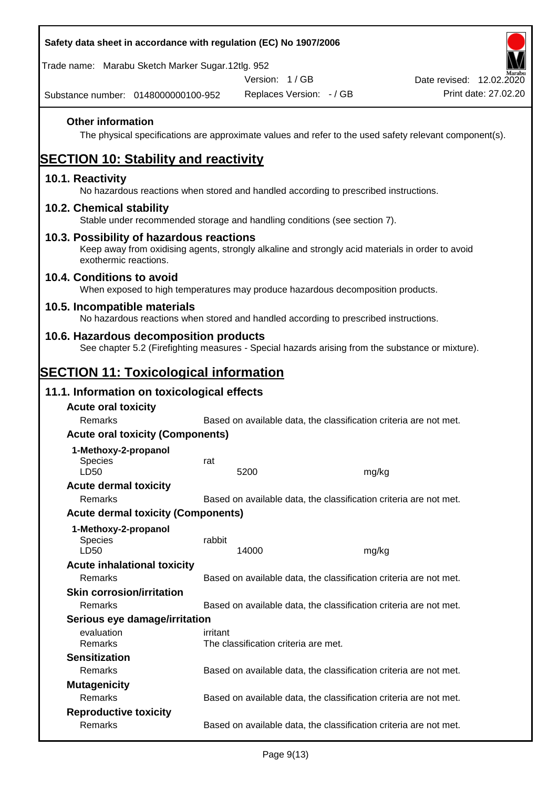| Safety data sheet in accordance with regulation (EC) No 1907/2006                                                                                                     |          |                                      |                          |                                                                                                        |
|-----------------------------------------------------------------------------------------------------------------------------------------------------------------------|----------|--------------------------------------|--------------------------|--------------------------------------------------------------------------------------------------------|
| Trade name: Marabu Sketch Marker Sugar.12tlg. 952                                                                                                                     |          |                                      |                          |                                                                                                        |
| Substance number: 0148000000100-952                                                                                                                                   |          | Version: 1 / GB                      | Replaces Version: - / GB | Date revised: 12.02.2020<br>Print date: 27.02.20                                                       |
| <b>Other information</b>                                                                                                                                              |          |                                      |                          | The physical specifications are approximate values and refer to the used safety relevant component(s). |
| <b>SECTION 10: Stability and reactivity</b>                                                                                                                           |          |                                      |                          |                                                                                                        |
| 10.1. Reactivity<br>No hazardous reactions when stored and handled according to prescribed instructions.                                                              |          |                                      |                          |                                                                                                        |
| 10.2. Chemical stability<br>Stable under recommended storage and handling conditions (see section 7).                                                                 |          |                                      |                          |                                                                                                        |
| 10.3. Possibility of hazardous reactions<br>Keep away from oxidising agents, strongly alkaline and strongly acid materials in order to avoid<br>exothermic reactions. |          |                                      |                          |                                                                                                        |
| 10.4. Conditions to avoid<br>When exposed to high temperatures may produce hazardous decomposition products.                                                          |          |                                      |                          |                                                                                                        |
| 10.5. Incompatible materials<br>No hazardous reactions when stored and handled according to prescribed instructions.                                                  |          |                                      |                          |                                                                                                        |
| 10.6. Hazardous decomposition products<br>See chapter 5.2 (Firefighting measures - Special hazards arising from the substance or mixture).                            |          |                                      |                          |                                                                                                        |
| <u>SECTION 11: Toxicological information</u>                                                                                                                          |          |                                      |                          |                                                                                                        |
| 11.1. Information on toxicological effects                                                                                                                            |          |                                      |                          |                                                                                                        |
| <b>Acute oral toxicity</b>                                                                                                                                            |          |                                      |                          |                                                                                                        |
| Remarks                                                                                                                                                               |          |                                      |                          | Based on available data, the classification criteria are not met.                                      |
| <b>Acute oral toxicity (Components)</b>                                                                                                                               |          |                                      |                          |                                                                                                        |
| 1-Methoxy-2-propanol                                                                                                                                                  |          |                                      |                          |                                                                                                        |
| <b>Species</b><br>LD50                                                                                                                                                | rat      | 5200                                 |                          |                                                                                                        |
| <b>Acute dermal toxicity</b>                                                                                                                                          |          |                                      |                          | mg/kg                                                                                                  |
| Remarks                                                                                                                                                               |          |                                      |                          | Based on available data, the classification criteria are not met.                                      |
| <b>Acute dermal toxicity (Components)</b>                                                                                                                             |          |                                      |                          |                                                                                                        |
| 1-Methoxy-2-propanol<br><b>Species</b><br>LD50                                                                                                                        | rabbit   | 14000                                |                          | mg/kg                                                                                                  |
| <b>Acute inhalational toxicity</b>                                                                                                                                    |          |                                      |                          |                                                                                                        |
| Remarks                                                                                                                                                               |          |                                      |                          | Based on available data, the classification criteria are not met.                                      |
| <b>Skin corrosion/irritation</b>                                                                                                                                      |          |                                      |                          |                                                                                                        |
| Remarks                                                                                                                                                               |          |                                      |                          | Based on available data, the classification criteria are not met.                                      |
| Serious eye damage/irritation                                                                                                                                         |          |                                      |                          |                                                                                                        |
| evaluation<br>Remarks                                                                                                                                                 | irritant | The classification criteria are met. |                          |                                                                                                        |
| <b>Sensitization</b>                                                                                                                                                  |          |                                      |                          |                                                                                                        |
| Remarks                                                                                                                                                               |          |                                      |                          | Based on available data, the classification criteria are not met.                                      |
| <b>Mutagenicity</b>                                                                                                                                                   |          |                                      |                          |                                                                                                        |
| Remarks                                                                                                                                                               |          |                                      |                          | Based on available data, the classification criteria are not met.                                      |
| <b>Reproductive toxicity</b><br>Remarks                                                                                                                               |          |                                      |                          | Based on available data, the classification criteria are not met.                                      |
|                                                                                                                                                                       |          |                                      |                          |                                                                                                        |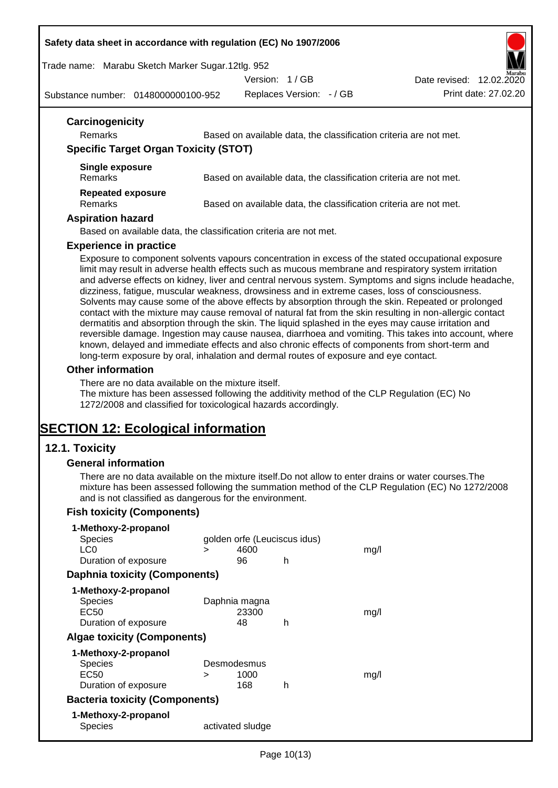#### **Safety data sheet in accordance with regulation (EC) No 1907/2006**

Trade name: Marabu Sketch Marker Sugar.12tlg. 952

Version: 1 / GB

Date revised: 12.02.2020

Substance number: 0148000000100-952

Replaces Version: - / GB Print date: 27.02.20

| <b>Remarks</b>                               | Based on available data, the classification criteria are not met. |
|----------------------------------------------|-------------------------------------------------------------------|
| <b>Specific Target Organ Toxicity (STOT)</b> |                                                                   |
| Single exposure                              |                                                                   |
| <b>Remarks</b>                               | Based on available data, the classification criteria are not met. |
| Repeated exposure                            |                                                                   |
| <b>Remarks</b>                               | Based on available data, the classification criteria are not met. |

#### **Experience in practice**

Exposure to component solvents vapours concentration in excess of the stated occupational exposure limit may result in adverse health effects such as mucous membrane and respiratory system irritation and adverse effects on kidney, liver and central nervous system. Symptoms and signs include headache, dizziness, fatigue, muscular weakness, drowsiness and in extreme cases, loss of consciousness. Solvents may cause some of the above effects by absorption through the skin. Repeated or prolonged contact with the mixture may cause removal of natural fat from the skin resulting in non-allergic contact dermatitis and absorption through the skin. The liquid splashed in the eyes may cause irritation and reversible damage. Ingestion may cause nausea, diarrhoea and vomiting. This takes into account, where known, delayed and immediate effects and also chronic effects of components from short-term and long-term exposure by oral, inhalation and dermal routes of exposure and eye contact.

#### **Other information**

There are no data available on the mixture itself.

The mixture has been assessed following the additivity method of the CLP Regulation (EC) No 1272/2008 and classified for toxicological hazards accordingly.

# **SECTION 12: Ecological information**

## **12.1. Toxicity**

#### **General information**

There are no data available on the mixture itself.Do not allow to enter drains or water courses.The mixture has been assessed following the summation method of the CLP Regulation (EC) No 1272/2008 and is not classified as dangerous for the environment.

## **Fish toxicity (Components)**

| 1-Methoxy-2-propanol                  |   |                              |   |      |
|---------------------------------------|---|------------------------------|---|------|
| <b>Species</b>                        |   | golden orfe (Leuciscus idus) |   |      |
| LC <sub>0</sub>                       | ⋗ | 4600                         |   | mq/l |
| Duration of exposure                  |   | 96                           | h |      |
| <b>Daphnia toxicity (Components)</b>  |   |                              |   |      |
| 1-Methoxy-2-propanol                  |   |                              |   |      |
| <b>Species</b>                        |   | Daphnia magna                |   |      |
| EC50                                  |   | 23300                        |   | mq/1 |
| Duration of exposure                  |   | 48                           | h |      |
| <b>Algae toxicity (Components)</b>    |   |                              |   |      |
| 1-Methoxy-2-propanol                  |   |                              |   |      |
| <b>Species</b>                        |   | Desmodesmus                  |   |      |
| EC50                                  | ⋗ | 1000                         |   | mq/1 |
| Duration of exposure                  |   | 168                          | h |      |
| <b>Bacteria toxicity (Components)</b> |   |                              |   |      |
| 1-Methoxy-2-propanol                  |   |                              |   |      |
| Species                               |   | activated sludge             |   |      |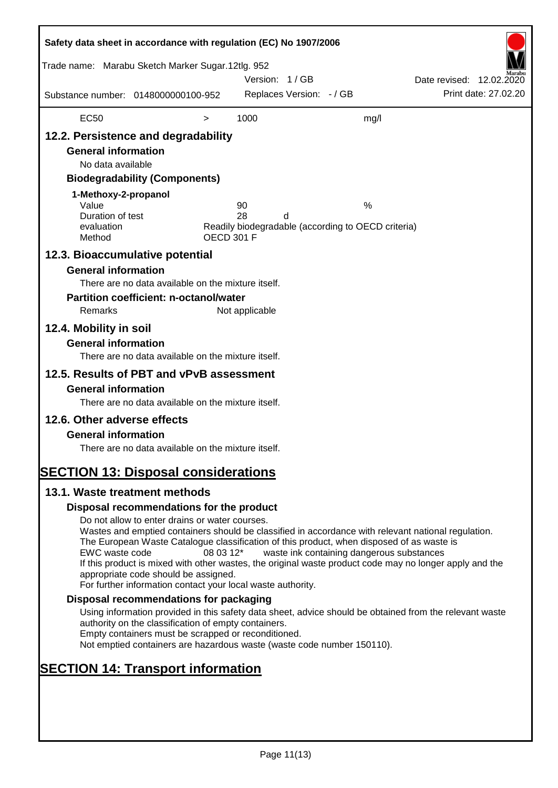| Safety data sheet in accordance with regulation (EC) No 1907/2006                                                                                                                                                                    |                                                                                                                                                                                                                                                                                                                                                                                                                                                                      |                   |                |                          |                                                         |                          |                      |
|--------------------------------------------------------------------------------------------------------------------------------------------------------------------------------------------------------------------------------------|----------------------------------------------------------------------------------------------------------------------------------------------------------------------------------------------------------------------------------------------------------------------------------------------------------------------------------------------------------------------------------------------------------------------------------------------------------------------|-------------------|----------------|--------------------------|---------------------------------------------------------|--------------------------|----------------------|
| Trade name: Marabu Sketch Marker Sugar.12tlg. 952                                                                                                                                                                                    |                                                                                                                                                                                                                                                                                                                                                                                                                                                                      |                   | Version: 1/GB  |                          |                                                         | Date revised: 12.02.2020 |                      |
| Substance number: 0148000000100-952                                                                                                                                                                                                  |                                                                                                                                                                                                                                                                                                                                                                                                                                                                      |                   |                | Replaces Version: - / GB |                                                         |                          | Print date: 27.02.20 |
| <b>EC50</b>                                                                                                                                                                                                                          |                                                                                                                                                                                                                                                                                                                                                                                                                                                                      | $\,>$             | 1000           |                          | mg/l                                                    |                          |                      |
| 12.2. Persistence and degradability<br><b>General information</b><br>No data available<br>1-Methoxy-2-propanol<br>Value<br>Duration of test<br>evaluation<br>Method<br>12.3. Bioaccumulative potential<br><b>General information</b> | <b>Biodegradability (Components)</b><br>There are no data available on the mixture itself.                                                                                                                                                                                                                                                                                                                                                                           | <b>OECD 301 F</b> | 90<br>28       | d                        | %<br>Readily biodegradable (according to OECD criteria) |                          |                      |
| Remarks<br>12.4. Mobility in soil<br><b>General information</b>                                                                                                                                                                      | <b>Partition coefficient: n-octanol/water</b>                                                                                                                                                                                                                                                                                                                                                                                                                        |                   | Not applicable |                          |                                                         |                          |                      |
|                                                                                                                                                                                                                                      | There are no data available on the mixture itself.                                                                                                                                                                                                                                                                                                                                                                                                                   |                   |                |                          |                                                         |                          |                      |
| 12.5. Results of PBT and vPvB assessment<br><b>General information</b><br>12.6. Other adverse effects                                                                                                                                | There are no data available on the mixture itself.                                                                                                                                                                                                                                                                                                                                                                                                                   |                   |                |                          |                                                         |                          |                      |
| <b>General information</b><br><b>SECTION 13: Disposal considerations</b>                                                                                                                                                             | There are no data available on the mixture itself.                                                                                                                                                                                                                                                                                                                                                                                                                   |                   |                |                          |                                                         |                          |                      |
| 13.1. Waste treatment methods                                                                                                                                                                                                        |                                                                                                                                                                                                                                                                                                                                                                                                                                                                      |                   |                |                          |                                                         |                          |                      |
|                                                                                                                                                                                                                                      | Disposal recommendations for the product                                                                                                                                                                                                                                                                                                                                                                                                                             |                   |                |                          |                                                         |                          |                      |
| EWC waste code                                                                                                                                                                                                                       | Do not allow to enter drains or water courses.<br>Wastes and emptied containers should be classified in accordance with relevant national regulation.<br>The European Waste Catalogue classification of this product, when disposed of as waste is<br>If this product is mixed with other wastes, the original waste product code may no longer apply and the<br>appropriate code should be assigned.<br>For further information contact your local waste authority. | 08 03 12*         |                |                          | waste ink containing dangerous substances               |                          |                      |
|                                                                                                                                                                                                                                      | Disposal recommendations for packaging                                                                                                                                                                                                                                                                                                                                                                                                                               |                   |                |                          |                                                         |                          |                      |
|                                                                                                                                                                                                                                      | Using information provided in this safety data sheet, advice should be obtained from the relevant waste<br>authority on the classification of empty containers.<br>Empty containers must be scrapped or reconditioned.<br>Not emptied containers are hazardous waste (waste code number 150110).                                                                                                                                                                     |                   |                |                          |                                                         |                          |                      |
| <b>SECTION 14: Transport information</b>                                                                                                                                                                                             |                                                                                                                                                                                                                                                                                                                                                                                                                                                                      |                   |                |                          |                                                         |                          |                      |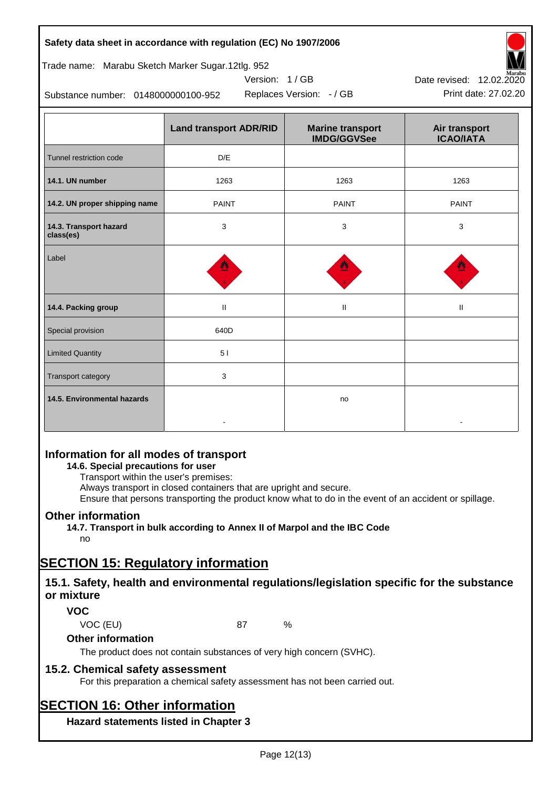| Page 12(13) |  |
|-------------|--|
|             |  |

#### **Safety data sheet in accordance with regulation (EC) No 1907/2006**

| Trade name: Marabu Sketch Marker Sugar.12tlg. 952 |  |  |  |
|---------------------------------------------------|--|--|--|
|                                                   |  |  |  |

Substance number: 0148000000100-952

|                                     | <b>Land transport ADR/RID</b> | <b>Marine transport</b><br><b>IMDG/GGVSee</b> | Air transport<br><b>ICAO/IATA</b> |
|-------------------------------------|-------------------------------|-----------------------------------------------|-----------------------------------|
| Tunnel restriction code             | D/E                           |                                               |                                   |
| 14.1. UN number                     | 1263                          | 1263                                          | 1263                              |
| 14.2. UN proper shipping name       | <b>PAINT</b>                  | <b>PAINT</b>                                  | <b>PAINT</b>                      |
| 14.3. Transport hazard<br>class(es) | $\mathbf{3}$                  | 3                                             | 3                                 |
| Label                               |                               |                                               |                                   |
| 14.4. Packing group                 | $\mathbf{H}$                  | $\mathbf{H}$                                  | $\mathbf{H}$                      |
| Special provision                   | 640D                          |                                               |                                   |
| <b>Limited Quantity</b>             | 5 <sub>1</sub>                |                                               |                                   |
| Transport category                  | 3                             |                                               |                                   |
| 14.5. Environmental hazards         |                               | no                                            |                                   |

Version: 1 / GB

## **Information for all modes of transport**

## **14.6. Special precautions for user**

Transport within the user's premises:

Always transport in closed containers that are upright and secure.

Ensure that persons transporting the product know what to do in the event of an accident or spillage.

## **Other information**

**14.7. Transport in bulk according to Annex II of Marpol and the IBC Code**

## no

# **SECTION 15: Regulatory information**

## **15.1. Safety, health and environmental regulations/legislation specific for the substance or mixture**

## **VOC**

VOC (EU) 87 %

## **Other information**

The product does not contain substances of very high concern (SVHC).

## **15.2. Chemical safety assessment**

For this preparation a chemical safety assessment has not been carried out.

# **SECTION 16: Other information**

**Hazard statements listed in Chapter 3**



Replaces Version: - / GB Print date: 27.02.20 Date revised: 12.02.2020